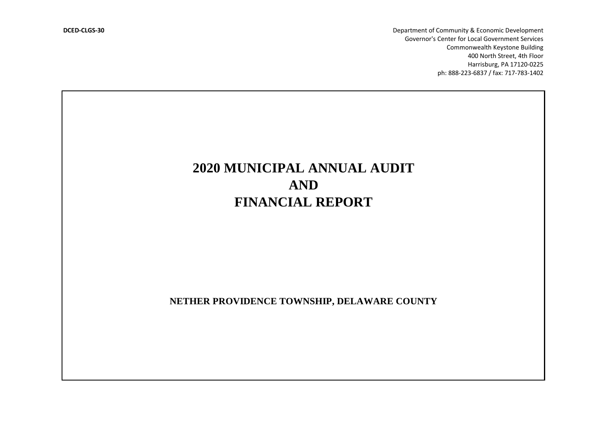**DCED-CLGS-30** Department of Community & Economic Development Governor's Center for Local Government Services Commonwealth Keystone Building 400 North Street, 4th Floor Harrisburg, PA 17120-0225 ph: 888-223-6837 / fax: 717-783-1402

# **2020 MUNICIPAL ANNUAL AUDIT AND FINANCIAL REPORT**

**NETHER PROVIDENCE TOWNSHIP, DELAWARE COUNTY**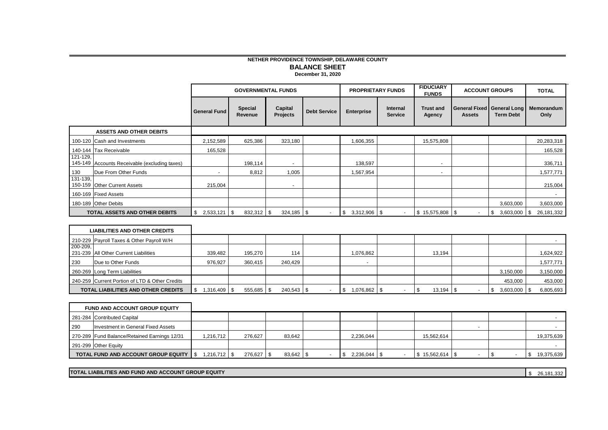# **NETHER PROVIDENCE TOWNSHIP, DELAWARE COUNTY BALANCE SHEET**

**December 31, 2020**

|                         |                                                    |                      |                           | <b>GOVERNMENTAL FUNDS</b>  |                     |                      | <b>PROPRIETARY FUNDS</b>          | <b>FIDUCIARY</b><br><b>FUNDS</b> |                | <b>ACCOUNT GROUPS</b>                                 | <b>TOTAL</b>       |
|-------------------------|----------------------------------------------------|----------------------|---------------------------|----------------------------|---------------------|----------------------|-----------------------------------|----------------------------------|----------------|-------------------------------------------------------|--------------------|
|                         |                                                    | <b>General Fund</b>  | <b>Special</b><br>Revenue | Capital<br><b>Projects</b> | <b>Debt Service</b> | <b>Enterprise</b>    | <b>Internal</b><br><b>Service</b> | <b>Trust and</b><br>Agency       | <b>Assets</b>  | <b>General Fixed General Long</b><br><b>Term Debt</b> | Memorandum<br>Only |
|                         | <b>ASSETS AND OTHER DEBITS</b>                     |                      |                           |                            |                     |                      |                                   |                                  |                |                                                       |                    |
| 100-120                 | Cash and Investments                               | 2,152,589            | 625,386                   | 323,180                    |                     | 1,606,355            |                                   | 15,575,808                       |                |                                                       | 20,283,318         |
|                         | 140-144 Tax Receivable                             | 165,528              |                           |                            |                     |                      |                                   |                                  |                |                                                       | 165,528            |
| 121-129.<br>145-149     | Accounts Receivable (excluding taxes)              |                      | 198,114                   | $\sim$                     |                     | 138.597              |                                   |                                  |                |                                                       | 336,711            |
| 130                     | Due From Other Funds                               |                      | 8,812                     | 1,005                      |                     | 1,567,954            |                                   |                                  |                |                                                       | 1,577,771          |
| $131 - 139,$<br>150-159 | <b>Other Current Assets</b>                        | 215,004              |                           | $\overline{\phantom{a}}$   |                     |                      |                                   |                                  |                |                                                       | 215,004            |
|                         | 160-169 Fixed Assets                               |                      |                           |                            |                     |                      |                                   |                                  |                |                                                       |                    |
|                         | 180-189 Other Debits                               |                      |                           |                            |                     |                      |                                   |                                  |                | 3,603,000                                             | 3,603,000          |
|                         | <b>TOTAL ASSETS AND OTHER DEBITS</b>               | \$<br>$2,533,121$ \$ | $832,312$ \$              | $324,185$ \$               | $\sim$              | \$<br>$3,312,906$ \$ | $\blacksquare$                    | $$15,575,808$ \\$                | $\sim$         | \$<br>$3,603,000$ \$                                  | 26,181,332         |
|                         |                                                    |                      |                           |                            |                     |                      |                                   |                                  |                |                                                       |                    |
|                         | <b>LIABILITIES AND OTHER CREDITS</b>               |                      |                           |                            |                     |                      |                                   |                                  |                |                                                       |                    |
|                         | 210-229 Payroll Taxes & Other Payroll W/H          |                      |                           |                            |                     |                      |                                   |                                  |                |                                                       |                    |
| 200-209.                | 231-239 All Other Current Liabilities              | 339,482              | 195,270                   | 114                        |                     | 1,076,862            |                                   | 13,194                           |                |                                                       | 1,624,922          |
| 230                     | Due to Other Funds                                 | 976,927              | 360,415                   | 240,429                    |                     |                      |                                   |                                  |                |                                                       | 1,577,771          |
|                         | 260-269 Long Term Liabilities                      |                      |                           |                            |                     |                      |                                   |                                  |                | 3,150,000                                             | 3,150,000          |
|                         | 240-259 Current Portion of LTD & Other Credits     |                      |                           |                            |                     |                      |                                   |                                  |                | 453,000                                               | 453,000            |
|                         | TOTAL LIABILITIES AND OTHER CREDITS                | $$1,316,409$ \\$     | 555,685                   | \$<br>240,543              | \$<br>$\mathbf{r}$  | 1,076,862 \$<br>\$   |                                   | \$<br>$13,194$ \$                | $\sim$         | \$<br>$3,603,000$ \$                                  | 6,805,693          |
|                         |                                                    |                      |                           |                            |                     |                      |                                   |                                  |                |                                                       |                    |
|                         | <b>FUND AND ACCOUNT GROUP EQUITY</b>               |                      |                           |                            |                     |                      |                                   |                                  |                |                                                       |                    |
|                         | 281-284 Contributed Capital                        |                      |                           |                            |                     |                      |                                   |                                  |                |                                                       |                    |
| 290                     | Investment in General Fixed Assets                 |                      |                           |                            |                     |                      |                                   |                                  | $\blacksquare$ |                                                       |                    |
|                         | 270-289 Fund Balance/Retained Earnings 12/31       | 1,216,712            | 276,627                   | 83,642                     |                     | 2,236,044            |                                   | 15,562,614                       |                |                                                       | 19,375,639         |
|                         | 291-299 Other Equity                               |                      |                           |                            |                     |                      |                                   |                                  |                |                                                       |                    |
|                         | TOTAL FUND AND ACCOUNT GROUP EQUITY 5 1,216,712 \$ |                      | 276,627 \$                | 83,642 \$                  | $\sim$              | $$2,236,044$ \\$     | $\sim$                            | $$15,562,614$ \\$                | $\sim$         | \$<br>$\overline{\phantom{a}}$                        | \$19,375,639       |

**TOTAL LIABILITIES AND FUND AND ACCOUNT GROUP EQUITY**

 $$26,181,332$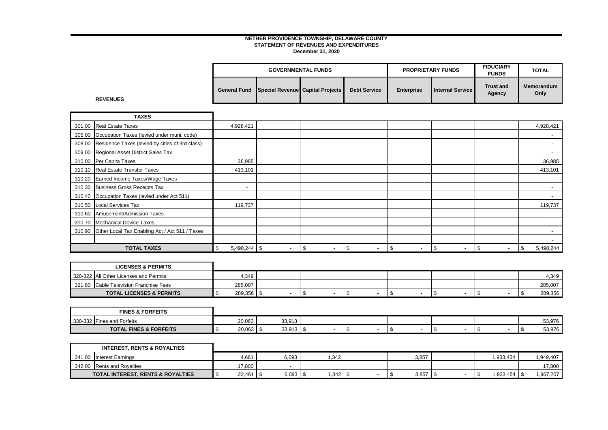|                                               | <b>GOVERNMENTAL FUNDS</b> |                     | <b>PROPRIETARY FUNDS</b> |                           | <b>FIDUCIARY</b><br><b>FUNDS</b> | <b>TOTAL</b>              |
|-----------------------------------------------|---------------------------|---------------------|--------------------------|---------------------------|----------------------------------|---------------------------|
| General Fund Special Revenue Capital Projects |                           | <b>Debt Service</b> | <b>Enterprise</b>        | <b>Internal Service I</b> | <b>Trust and</b><br>Agency       | <b>Memorandum</b><br>Only |

**REVENUES**

|        | <b>TAXES</b>                                    |                          |                          |                                  |                                |                                 |                                |                          |                          |
|--------|-------------------------------------------------|--------------------------|--------------------------|----------------------------------|--------------------------------|---------------------------------|--------------------------------|--------------------------|--------------------------|
|        | 301.00 Real Estate Taxes                        | 4,928,421                |                          |                                  |                                |                                 |                                |                          | 4,928,421                |
| 305.00 | Occupation Taxes (levied under muni. code)      |                          |                          |                                  |                                |                                 |                                |                          |                          |
| 308.00 | Residence Taxes (levied by cities of 3rd class) |                          |                          |                                  |                                |                                 |                                |                          |                          |
|        | 309.00 Regional Asset District Sales Tax        |                          |                          |                                  |                                |                                 |                                |                          |                          |
|        | 310.00 Per Capita Taxes                         | 36,985                   |                          |                                  |                                |                                 |                                |                          | 36,985                   |
| 310.10 | Real Estate Transfer Taxes                      | 413,101                  |                          |                                  |                                |                                 |                                |                          | 413,101                  |
|        | 310.20 Earned Income Taxes/Wage Taxes           | $\overline{\phantom{a}}$ |                          |                                  |                                |                                 |                                |                          | $\overline{\phantom{0}}$ |
|        | 310.30 Business Gross Receipts Tax              |                          |                          |                                  |                                |                                 |                                |                          |                          |
| 310.40 | Occupation Taxes (levied under Act 511)         |                          |                          |                                  |                                |                                 |                                |                          |                          |
| 310.50 | Local Services Tax                              | 119,737                  |                          |                                  |                                |                                 |                                |                          | 119,737                  |
| 310.60 | Amusement/Admission Taxes                       |                          |                          |                                  |                                |                                 |                                |                          |                          |
|        | 310.70 Mechanical Device Taxes                  |                          |                          |                                  |                                |                                 |                                |                          |                          |
| 310.90 | Other Local Tax Enabling Act / Act 511 / Taxes  |                          |                          |                                  |                                |                                 |                                |                          |                          |
|        |                                                 |                          |                          |                                  |                                |                                 |                                |                          |                          |
|        | <b>TOTAL TAXES</b>                              | $5,498,244$ \\$<br>\$    | $\overline{\phantom{a}}$ | - \$<br>$\overline{\phantom{a}}$ | \$<br>$\overline{\phantom{0}}$ | \$.<br>$\overline{\phantom{a}}$ | \$<br>$\overline{\phantom{a}}$ | $\overline{\phantom{a}}$ | 5,498,244<br>\$          |

| <b>LICENSES &amp; PERMITS</b>          |         |  |  |  |  |         |
|----------------------------------------|---------|--|--|--|--|---------|
| 320-322 All Other Licenses and Permits | 4,349   |  |  |  |  | 4.349   |
| 321.80 Cable Television Franchise Fees | 285,007 |  |  |  |  | 285,007 |
| <b>TOTAL LICENSES &amp; PERMITS</b>    | 289,356 |  |  |  |  | 289,356 |

| <b>FINES &amp; FORFEITS</b>       |        |                  |  |  |  |  |  |        |
|-----------------------------------|--------|------------------|--|--|--|--|--|--------|
| 330-332 Fines and Forfeits        | 20.063 | 33,913           |  |  |  |  |  | 53,976 |
| <b>TOTAL FINES &amp; FORFEITS</b> | 20,063 | 22.01'<br>JJ,JIJ |  |  |  |  |  | 53,976 |

| <b>INTEREST. RENTS &amp; ROYALTIES</b> |        |            |      |       |              |           |
|----------------------------------------|--------|------------|------|-------|--------------|-----------|
| 341.00 Interest Earnings               | 4,661  | 6,093      | .342 | 3,857 | .933.454     | 1,949,407 |
| 342.00 Rents and Royalties             | 17,800 |            |      |       |              | 17.800    |
| TOTAL INTEREST, RENTS & ROYALTIES      | 22,461 | $6,093$ \$ | ,342 | 3,857 | 1,933,454 \$ | 1,967,207 |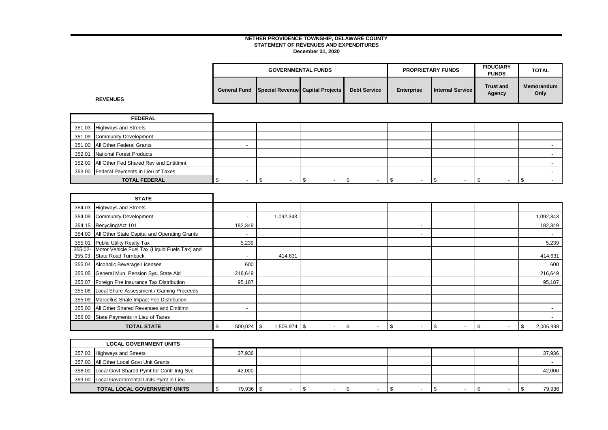|                     |                                          | <b>GOVERNMENTAL FUNDS</b> |                     |                   | <b>PROPRIETARY FUNDS</b>  | <b>FIDUCIARY</b><br><b>FUNDS</b> | TOTAL                     |
|---------------------|------------------------------------------|---------------------------|---------------------|-------------------|---------------------------|----------------------------------|---------------------------|
| <b>General Fund</b> | <b>Special Revenuel Capital Projects</b> |                           | <b>Debt Service</b> | <b>Enterprise</b> | <b>Internal Service I</b> | <b>Trust and</b><br>Agency       | <b>Memorandum</b><br>Only |

**REVENUES**

| <b>FEDERAL</b>                                |  |  |  |  |  |  |  |  |
|-----------------------------------------------|--|--|--|--|--|--|--|--|
| 351.03 Highways and Streets                   |  |  |  |  |  |  |  |  |
| 351.09 Community Development                  |  |  |  |  |  |  |  |  |
| 351.00 All Other Federal Grants               |  |  |  |  |  |  |  |  |
| 352.01 National Forest Products               |  |  |  |  |  |  |  |  |
| 352.00 All Other Fed Shared Rev and Entitlmnt |  |  |  |  |  |  |  |  |
| 353.00 Federal Payments in Lieu of Taxes      |  |  |  |  |  |  |  |  |
| <b>TOTAL FEDERAL</b>                          |  |  |  |  |  |  |  |  |

|                   | <b>STATE</b>                                                                |                          |           |        |                      |                                 |     |                          |                 |
|-------------------|-----------------------------------------------------------------------------|--------------------------|-----------|--------|----------------------|---------------------------------|-----|--------------------------|-----------------|
| 354.03            | <b>Highways and Streets</b>                                                 | $\overline{\phantom{a}}$ |           | $\sim$ |                      | $\overline{\phantom{a}}$        |     |                          |                 |
| 354.09            | <b>Community Development</b>                                                | $\overline{\phantom{a}}$ | 1,092,343 |        |                      |                                 |     |                          | 1,092,343       |
|                   | 354.15 Recycling/Act 101                                                    | 182,349                  |           |        |                      |                                 |     |                          | 182,349         |
| 354.00            | All Other State Capital and Operating Grants                                | $\overline{\phantom{a}}$ |           |        |                      | $\overline{\phantom{a}}$        |     |                          |                 |
| 355.01            | <b>Public Utility Realty Tax</b>                                            | 5,239                    |           |        |                      |                                 |     |                          | 5,239           |
| 355.02-<br>355.03 | Motor Vehicle Fuel Tax (Liquid Fuels Tax) and<br><b>State Road Turnback</b> |                          | 414,631   |        |                      |                                 |     |                          | 414,631         |
| 355.04            | Alcoholic Beverage Licenses                                                 | 600                      |           |        |                      |                                 |     |                          | 600             |
| 355.05            | General Mun. Pension Sys. State Aid                                         | 216,649                  |           |        |                      |                                 |     |                          | 216,649         |
| 355.07            | Foreign Fire Insurance Tax Distribution                                     | 95,187                   |           |        |                      |                                 |     |                          | 95,187          |
| 355.08            | Local Share Assessment / Gaming Proceeds                                    |                          |           |        |                      |                                 |     |                          |                 |
| 355.09            | Marcellus Shale Impact Fee Distribution                                     |                          |           |        |                      |                                 |     |                          |                 |
| 355.00            | All Other Shared Revenues and Entitlmn                                      | $\overline{\phantom{a}}$ |           |        |                      |                                 |     |                          |                 |
| 356.00            | State Payments in Lieu of Taxes                                             |                          |           |        |                      |                                 |     |                          |                 |
|                   | <b>TOTAL STATE</b>                                                          | $500,024$ \$<br>-95      |           |        | \$<br>$\overline{a}$ | \$.<br>$\overline{\phantom{a}}$ | -\$ | $\overline{\phantom{a}}$ | 2,006,998<br>\$ |

| <b>LOCAL GOVERNMENT UNITS</b>                    |        |  |  |  |  |  |        |
|--------------------------------------------------|--------|--|--|--|--|--|--------|
| 357.03 Highways and Streets                      | 37,936 |  |  |  |  |  | 37,936 |
| 357.00 All Other Local Govt Unit Grants          |        |  |  |  |  |  |        |
| 358.00 Local Govt Shared Pymt for Contr Intg Svc | 42,000 |  |  |  |  |  | 42,000 |
| 359.00 Local Governmental Units Pymt in Lieu     |        |  |  |  |  |  |        |
| <b>TOTAL LOCAL GOVERNMENT UNITS</b>              | 79,936 |  |  |  |  |  | 79,936 |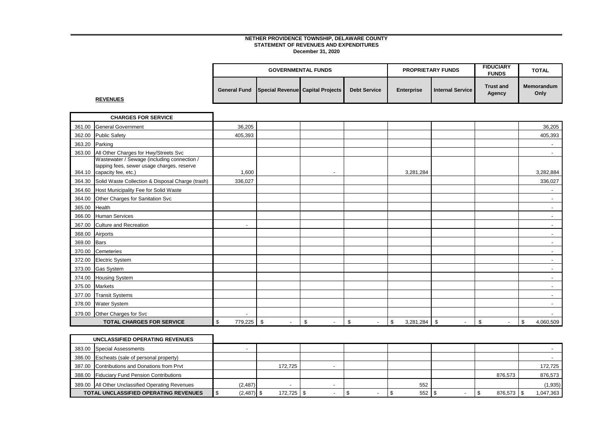|  | <b>GOVERNMENTAL FUNDS</b>                     |                     | <b>PROPRIETARY FUNDS</b> |                  | <b>FIDUCIARY</b><br><b>FUNDS</b> | <b>TOTAL</b>       |
|--|-----------------------------------------------|---------------------|--------------------------|------------------|----------------------------------|--------------------|
|  | General Fund Special Revenue Capital Projects | <b>Debt Service</b> | <b>Enterprise</b>        | Internal Service | <b>Trust and</b><br>Agency       | Memorandum<br>Only |

# **REVENUES**

|        | <b>CHARGES FOR SERVICE</b>                                               |               |                                |                                |                                |                 |                                  |              |                          |
|--------|--------------------------------------------------------------------------|---------------|--------------------------------|--------------------------------|--------------------------------|-----------------|----------------------------------|--------------|--------------------------|
| 361.00 | <b>General Government</b>                                                | 36,205        |                                |                                |                                |                 |                                  |              | 36,205                   |
| 362.00 | <b>Public Safety</b>                                                     | 405,393       |                                |                                |                                |                 |                                  |              | 405,393                  |
| 363.20 | Parking                                                                  |               |                                |                                |                                |                 |                                  |              |                          |
|        | 363.00 All Other Charges for Hwy/Streets Svc                             |               |                                |                                |                                |                 |                                  |              |                          |
|        | Wastewater / Sewage (including connection /                              |               |                                |                                |                                |                 |                                  |              |                          |
|        | tapping fees, sewer usage charges, reserve<br>364.10 capacity fee, etc.) | 1,600         |                                | $\overline{\phantom{a}}$       |                                | 3,281,284       |                                  |              | 3,282,884                |
|        | 364.30 Solid Waste Collection & Disposal Charge (trash)                  | 336,027       |                                |                                |                                |                 |                                  |              | 336,027                  |
| 364.60 | Host Municipality Fee for Solid Waste                                    |               |                                |                                |                                |                 |                                  |              |                          |
| 364.00 | Other Charges for Sanitation Svc                                         |               |                                |                                |                                |                 |                                  |              |                          |
| 365.00 | Health                                                                   |               |                                |                                |                                |                 |                                  |              |                          |
| 366.00 | <b>Human Services</b>                                                    |               |                                |                                |                                |                 |                                  |              |                          |
| 367.00 | <b>Culture and Recreation</b>                                            |               |                                |                                |                                |                 |                                  |              |                          |
| 368.00 | Airports                                                                 |               |                                |                                |                                |                 |                                  |              |                          |
| 369.00 | <b>Bars</b>                                                              |               |                                |                                |                                |                 |                                  |              |                          |
| 370.00 | Cemeteries                                                               |               |                                |                                |                                |                 |                                  |              |                          |
| 372.00 | <b>Electric System</b>                                                   |               |                                |                                |                                |                 |                                  |              |                          |
|        | 373.00 Gas System                                                        |               |                                |                                |                                |                 |                                  |              |                          |
| 374.00 | <b>Housing System</b>                                                    |               |                                |                                |                                |                 |                                  |              | $\overline{\phantom{a}}$ |
| 375.00 | <b>Markets</b>                                                           |               |                                |                                |                                |                 |                                  |              | $\blacksquare$           |
| 377.00 | <b>Transit Systems</b>                                                   |               |                                |                                |                                |                 |                                  |              | $\overline{\phantom{a}}$ |
| 378.00 | Water System                                                             |               |                                |                                |                                |                 |                                  |              |                          |
| 379.00 | Other Charges for Svc                                                    |               |                                |                                |                                |                 |                                  |              |                          |
|        | <b>TOTAL CHARGES FOR SERVICE</b>                                         | 779,225<br>\$ | \$<br>$\overline{\phantom{a}}$ | \$<br>$\overline{\phantom{a}}$ | \$<br>$\overline{\phantom{a}}$ | 3,281,284<br>\$ | - \$<br>$\overline{\phantom{a}}$ | \$<br>$\sim$ | \$<br>4,060,509          |

| UNCLASSIFIED OPERATING REVENUES                  |              |         |  |     |            |           |
|--------------------------------------------------|--------------|---------|--|-----|------------|-----------|
| 383.00 Special Assessments                       |              |         |  |     |            |           |
| 386.00 Escheats (sale of personal property)      |              |         |  |     |            |           |
| 387.00 Contributions and Donations from Prvt     |              | 172.725 |  |     |            | 172,725   |
| 388.00 Fiduciary Fund Pension Contributions      |              |         |  |     | 876.573    | 876,573   |
| 389.00 All Other Unclassified Operating Revenues | (2, 487)     |         |  | 552 |            | (1, 935)  |
| <b>TOTAL UNCLASSIFIED OPERATING REVENUES</b>     | $(2,487)$ \$ |         |  | 552 | 876,573 \$ | 1,047,363 |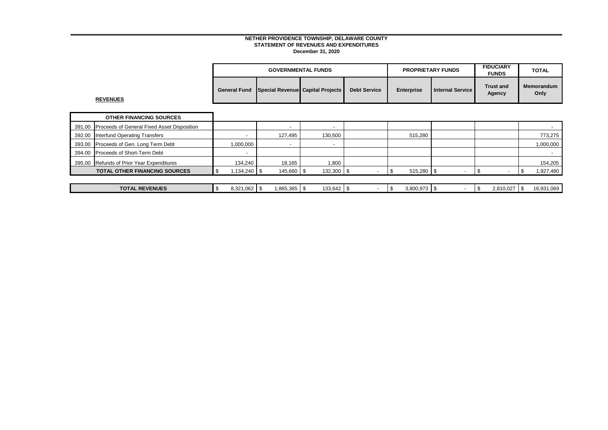|        |                                             |                          |                          | <b>GOVERNMENTAL FUNDS</b>        |                          | <b>PROPRIETARY FUNDS</b> |                          | <b>FIDUCIARY</b><br><b>FUNDS</b> |                            | <b>TOTAL</b>              |           |
|--------|---------------------------------------------|--------------------------|--------------------------|----------------------------------|--------------------------|--------------------------|--------------------------|----------------------------------|----------------------------|---------------------------|-----------|
|        | <b>REVENUES</b>                             | <b>General Fund</b>      |                          | Special Revenue Capital Projects | <b>Debt Service</b>      | <b>Enterprise</b>        | <b>Internal Service</b>  |                                  | <b>Trust and</b><br>Agency | <b>Memorandum</b><br>Only |           |
|        | <b>OTHER FINANCING SOURCES</b>              |                          |                          |                                  |                          |                          |                          |                                  |                            |                           |           |
| 391.00 | Proceeds of General Fixed Asset Disposition |                          | $\overline{\phantom{0}}$ | $\overline{\phantom{a}}$         |                          |                          |                          |                                  |                            |                           |           |
| 392.00 | <b>Interfund Operating Transfers</b>        |                          | 127,495                  | 130,500                          |                          | 515,280                  |                          |                                  |                            |                           | 773,275   |
| 393.00 | Proceeds of Gen. Long Term Debt             | 1,000,000                | $\overline{\phantom{0}}$ | $\overline{\phantom{a}}$         |                          |                          |                          |                                  |                            | 1,000,000                 |           |
| 394.00 | Proceeds of Short-Term Debt                 | $\overline{\phantom{a}}$ |                          |                                  |                          |                          |                          |                                  |                            |                           |           |
| 395.00 | Refunds of Prior Year Expenditures          | 134,240                  | 18,165                   | 1,800                            |                          |                          |                          |                                  |                            |                           | 154,205   |
|        | <b>TOTAL OTHER FINANCING SOURCES</b>        | \$<br>1,134,240 \$       | $145,660$ \$             | 132,300 \$                       | $\overline{\phantom{0}}$ | \$<br>$515,280$ \$       | $\overline{\phantom{a}}$ | -\$                              | $\overline{\phantom{a}}$   | \$                        | 1,927,480 |
|        |                                             |                          |                          |                                  |                          |                          |                          |                                  |                            |                           |           |
|        | <b>TOTAL REVENUES</b>                       | \$<br>$8,321,062$ \$     | $1,865,365$ \$           | $133,642$ \$                     | $\overline{\phantom{a}}$ | \$<br>$3,800,973$ \$     |                          | \$                               | 2,810,027                  | 16,931,069<br>$\sqrt{3}$  |           |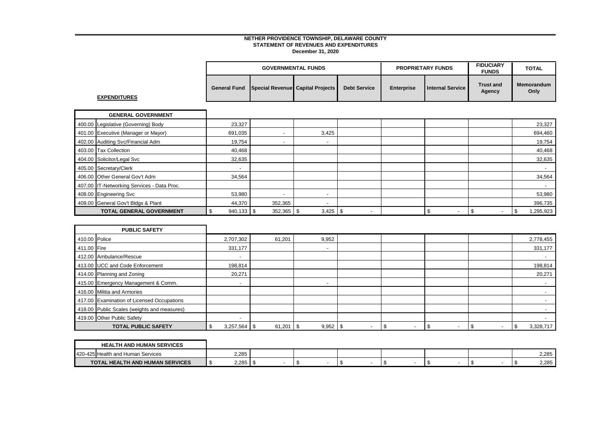|                     | <b>GOVERNMENTAL FUNDS</b>                             |                     | <b>PROPRIETARY FUNDS</b> |                  | <b>FIDUCIARY</b><br><b>FUNDS</b> | <b>TOTAL</b>       |
|---------------------|-------------------------------------------------------|---------------------|--------------------------|------------------|----------------------------------|--------------------|
| <b>EXPENDITURES</b> | <b>General Fund Special Revenuel Capital Projects</b> | <b>Debt Service</b> | <b>Enterprise</b>        | Internal Service | <b>Trust and</b><br>Agency       | Memorandum<br>Only |

| <b>GENERAL GOVERNMENT</b>                  |         |                          |                          |                          |                          |                                  |                 |
|--------------------------------------------|---------|--------------------------|--------------------------|--------------------------|--------------------------|----------------------------------|-----------------|
| 400.00 Legislative (Governing) Body        | 23,327  |                          |                          |                          |                          |                                  | 23,327          |
| 401.00 Executive (Manager or Mayor)        | 691,035 | $\overline{\phantom{a}}$ | 3,425                    |                          |                          |                                  | 694,460         |
| 402.00 Auditing Svc/Financial Adm          | 19,754  | $\overline{\phantom{a}}$ | $\overline{\phantom{a}}$ |                          |                          |                                  | 19,754          |
| 403.00 Tax Collection                      | 40,468  |                          |                          |                          |                          |                                  | 40,468          |
| 404.00 Solicitor/Legal Svc                 | 32,635  |                          |                          |                          |                          |                                  | 32,635          |
| 405.00 Secretary/Clerk                     |         |                          |                          |                          |                          |                                  |                 |
| 406.00 Other General Gov't Adm             | 34,564  |                          |                          |                          |                          |                                  | 34,564          |
| 407.00 IT-Networking Services - Data Proc. |         |                          |                          |                          |                          |                                  |                 |
| 408.00 Engineering Svc                     | 53,980  | $\overline{\phantom{0}}$ | -                        |                          |                          |                                  | 53,980          |
| 409.00 General Gov't Bldgs & Plant         | 44,370  | 352,365                  | $\overline{\phantom{a}}$ |                          |                          |                                  | 396,735         |
| <b>TOTAL GENERAL GOVERNMENT</b>            |         | $352,365$ \$             | $3,425$ \$               | $\overline{\phantom{a}}$ | $\overline{\phantom{a}}$ | $\overline{\phantom{a}}$<br>د⊏ ا | 295,923 <br>-\$ |

|               | <b>PUBLIC SAFETY</b>                        |                          |        |      |                          |  |  |                          |                          |           |
|---------------|---------------------------------------------|--------------------------|--------|------|--------------------------|--|--|--------------------------|--------------------------|-----------|
| 410.00 Police |                                             | 2,707,302                | 61,201 |      | 9,952                    |  |  |                          |                          | 2,778,455 |
| 411.00 Fire   |                                             | 331,177                  |        |      | $\overline{\phantom{0}}$ |  |  |                          |                          | 331,177   |
|               | 412.00 Ambulance/Rescue                     |                          |        |      |                          |  |  |                          |                          |           |
|               | 413.00 UCC and Code Enforcement             | 198,814                  |        |      |                          |  |  |                          |                          | 198,814   |
|               | 414.00 Planning and Zoning                  | 20,271                   |        |      |                          |  |  |                          |                          | 20,271    |
|               | 415.00 Emergency Management & Comm.         | $\overline{\phantom{a}}$ |        |      | $\overline{\phantom{0}}$ |  |  |                          |                          |           |
|               | 416.00 Militia and Armories                 |                          |        |      |                          |  |  |                          |                          |           |
|               | 417.00 Examination of Licensed Occupations  |                          |        |      |                          |  |  |                          |                          |           |
|               | 418.00 Public Scales (weights and measures) |                          |        |      |                          |  |  |                          |                          |           |
|               | 419.00 Other Public Safety                  | $\overline{\phantom{a}}$ |        |      |                          |  |  |                          |                          |           |
|               | <b>TOTAL PUBLIC SAFETY</b>                  |                          | 61,201 | - \$ | $9,952$ \$               |  |  | $\overline{\phantom{a}}$ | $\overline{\phantom{a}}$ | 3,328,717 |

| <b>HEALTH AND HUMAN SERVICES</b>       |       |  |  |  |       |
|----------------------------------------|-------|--|--|--|-------|
| 420-425<br>'IHealth and Human Services | 2,285 |  |  |  | 2,285 |
| <b>TOTAL HEALTH AND HUMAN SERVICES</b> | 2.285 |  |  |  | 2,285 |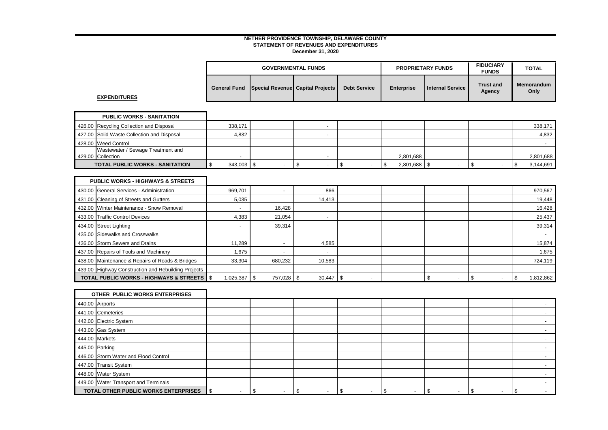|  | <b>GOVERNMENTAL FUNDS</b>                     |                     | <b>PROPRIETARY FUNDS</b> |                  | <b>FIDUCIARY</b><br><b>FUNDS</b> | <b>TOTAL</b>       |
|--|-----------------------------------------------|---------------------|--------------------------|------------------|----------------------------------|--------------------|
|  | General Fund Special Revenue Capital Projects | <b>Debt Service</b> | <b>Enterprise</b>        | Internal Service | <b>Trust and</b><br>Agency       | Memorandum<br>Only |

**EXPENDITURES**

| <b>PUBLIC WORKS - SANITATION</b>           |         |  |  |  |           |  |  |  |           |
|--------------------------------------------|---------|--|--|--|-----------|--|--|--|-----------|
| 426.00 Recycling Collection and Disposal   | 338,171 |  |  |  |           |  |  |  | 338,171   |
| 427.00 Solid Waste Collection and Disposal | 4,832   |  |  |  |           |  |  |  | 4,832     |
| 428.00 Weed Control                        |         |  |  |  |           |  |  |  |           |
| Wastewater / Sewage Treatment and          |         |  |  |  |           |  |  |  |           |
| 429.00 Collection                          |         |  |  |  | 2,801,688 |  |  |  | 2,801,688 |
| <b>TOTAL PUBLIC WORKS - SANITATION</b>     |         |  |  |  | 2,801,688 |  |  |  | 3,144,691 |

| <b>PUBLIC WORKS - HIGHWAYS &amp; STREETS</b>            |                          |            |                          |    |                          |                          |                  |
|---------------------------------------------------------|--------------------------|------------|--------------------------|----|--------------------------|--------------------------|------------------|
| 430.00 General Services - Administration                | 969,701                  |            | 866                      |    |                          |                          | 970,567          |
| 431.00 Cleaning of Streets and Gutters                  | 5,035                    |            | 14,413                   |    |                          |                          | 19,448           |
| 432.00 Winter Maintenance - Snow Removal                |                          | 16,428     |                          |    |                          |                          | 16,428           |
| 433.00 Traffic Control Devices                          | 4,383                    | 21.054     |                          |    |                          |                          | 25,437           |
| 434.00 Street Lighting                                  |                          | 39,314     |                          |    |                          |                          | 39,314           |
| 435.00 Sidewalks and Crosswalks                         |                          |            |                          |    |                          |                          |                  |
| 436.00 Storm Sewers and Drains                          | 11.289                   | -          | 4,585                    |    |                          |                          | 15,874           |
| 437.00 Repairs of Tools and Machinery                   | 1.675                    |            | $\overline{\phantom{a}}$ |    |                          |                          | 1,675            |
| 438.00 Maintenance & Repairs of Roads & Bridges         | 33,304                   | 680,232    | 10,583                   |    |                          |                          | 724,119          |
| 439.00 Highway Construction and Rebuilding Projects     | $\overline{\phantom{a}}$ |            | $\overline{\phantom{a}}$ |    |                          |                          |                  |
| <b>TOTAL PUBLIC WORKS - HIGHWAYS &amp; STREETS   \$</b> | 1,025,387                | 757,028 \$ | 30,447                   | ৾৵ | $\overline{\phantom{a}}$ | $\overline{\phantom{a}}$ | 1,812,862<br>-96 |

| OTHER PUBLIC WORKS ENTERPRISES       |   |  |                          |  |  |  |   |   |  |  |
|--------------------------------------|---|--|--------------------------|--|--|--|---|---|--|--|
| 440.00 Airports                      |   |  |                          |  |  |  |   |   |  |  |
| 441.00 Cemeteries                    |   |  |                          |  |  |  |   |   |  |  |
| 442.00 Electric System               |   |  |                          |  |  |  |   |   |  |  |
| 443.00 Gas System                    |   |  |                          |  |  |  |   |   |  |  |
| 444.00 Markets                       |   |  |                          |  |  |  |   |   |  |  |
| 445.00 Parking                       |   |  |                          |  |  |  |   |   |  |  |
| 446.00 Storm Water and Flood Control |   |  |                          |  |  |  |   |   |  |  |
| 447.00 Transit System                |   |  |                          |  |  |  |   |   |  |  |
| 448.00 Water System                  |   |  |                          |  |  |  |   |   |  |  |
| 449.00 Water Transport and Terminals |   |  |                          |  |  |  |   |   |  |  |
| TOTAL OTHER PUBLIC WORKS ENTERPRISES | £ |  | $\overline{\phantom{0}}$ |  |  |  | - | æ |  |  |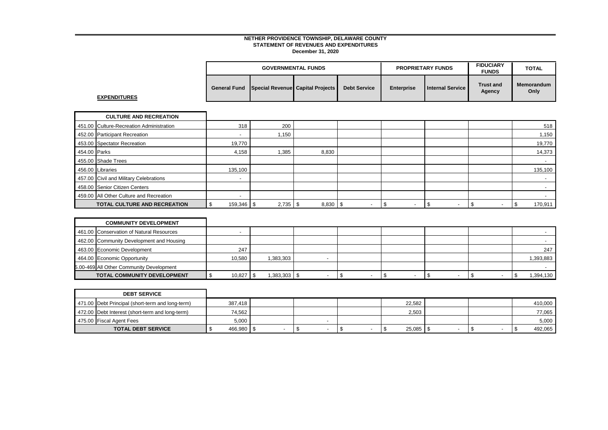|                     |                                  | <b>GOVERNMENTAL FUNDS</b> |                     |                   | <b>PROPRIETARY FUNDS</b> | <b>FIDUCIARY</b><br><b>FUNDS</b> | <b>TOTAL</b>       |
|---------------------|----------------------------------|---------------------------|---------------------|-------------------|--------------------------|----------------------------------|--------------------|
| <b>General Fund</b> | Special Revenue Capital Projects |                           | <b>Debt Service</b> | <b>Enterprise</b> | <b>Internal Service</b>  | <b>Trust and</b><br>Agency       | Memorandum<br>Only |

**EXPENDITURES**

|              | <b>CULTURE AND RECREATION</b>            |                          |            |       |  |                          |                          |         |
|--------------|------------------------------------------|--------------------------|------------|-------|--|--------------------------|--------------------------|---------|
|              | 451.00 Culture-Recreation Administration | 318                      | 200        |       |  |                          |                          | 518     |
|              | 452.00 Participant Recreation            | $\overline{\phantom{a}}$ | 1,150      |       |  |                          |                          | 1,150   |
|              | 453.00 Spectator Recreation              | 19,770                   |            |       |  |                          |                          | 19,770  |
| 454.00 Parks |                                          | 4,158                    | 1,385      | 8,830 |  |                          |                          | 14,373  |
|              | 455.00 Shade Trees                       |                          |            |       |  |                          |                          |         |
|              | 456.00 Libraries                         | 135,100                  |            |       |  |                          |                          | 135,100 |
|              | 457.00 Civil and Military Celebrations   | $\overline{\phantom{0}}$ |            |       |  |                          |                          |         |
|              | 458.00 Senior Citizen Centers            |                          |            |       |  |                          |                          |         |
|              | 459.00 All Other Culture and Recreation  |                          |            |       |  |                          |                          |         |
|              | <b>TOTAL CULTURE AND RECREATION</b>      | $159,346$ \$             | $2,735$ \$ | 8,830 |  | $\overline{\phantom{a}}$ | $\overline{\phantom{a}}$ | 170,911 |

| <b>COMMUNITY DEVELOPMENT</b>             |             |              |  |  |         |
|------------------------------------------|-------------|--------------|--|--|---------|
| 461.00 Conservation of Natural Resources |             |              |  |  |         |
| 462.00 Community Development and Housing |             |              |  |  |         |
| 463.00 Economic Development              | 247         |              |  |  | 247     |
| 464.00 Economic Opportunity              | 10,580      | 1,383,303    |  |  | 393,883 |
| 5.00-469 All Other Community Development |             |              |  |  |         |
| <b>TOTAL COMMUNITY DEVELOPMENT</b>       | $10,827$ \$ | 1,383,303 \$ |  |  | 394,130 |

| <b>DEBT SERVICE</b>                              |             |  |        |  |         |
|--------------------------------------------------|-------------|--|--------|--|---------|
| 471.00 Debt Principal (short-term and long-term) | 387,418     |  | 22,582 |  | 410,000 |
| 472.00 Debt Interest (short-term and long-term)  | 74.562      |  | 2,503  |  | 77,065  |
| 475.00 Fiscal Agent Fees                         | 5,000       |  |        |  | 5,000   |
| <b>TOTAL DEBT SERVICE</b>                        | 466,980   ? |  | 25,085 |  | 492,065 |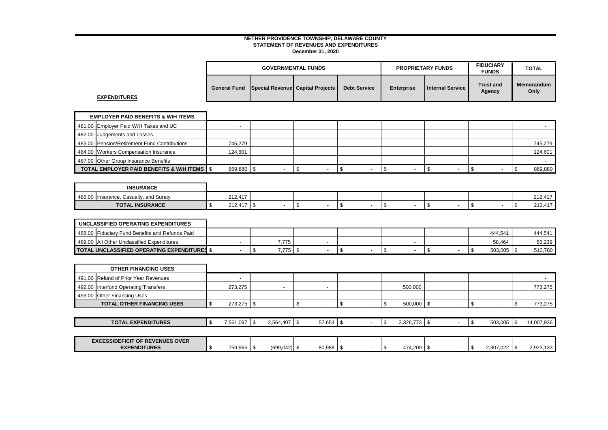|  | <b>GOVERNMENTAL FUNDS</b>                     |                     | <b>PROPRIETARY FUNDS</b> |                  | <b>FIDUCIARY</b><br><b>FUNDS</b> | <b>TOTAL</b>       |
|--|-----------------------------------------------|---------------------|--------------------------|------------------|----------------------------------|--------------------|
|  | General Fund Special Revenue Capital Projects | <b>Debt Service</b> | <b>Enterprise</b>        | Internal Service | <b>Trust and</b><br>Agency       | Memorandum<br>Only |

**EXPENDITURES**

| <b>EMPLOYER PAID BENEFITS &amp; W/H ITEMS</b>            |            |  |  |  |  |  |  |         |
|----------------------------------------------------------|------------|--|--|--|--|--|--|---------|
| 481.00 Employer Paid W/H Taxes and UC                    |            |  |  |  |  |  |  |         |
| 482.00 Judgements and Losses                             |            |  |  |  |  |  |  |         |
| 483.00 Pension/Retirement Fund Contributions             | 745.279    |  |  |  |  |  |  | 745,279 |
| 484.00 Workers Compensation Insurance                    | 124.601    |  |  |  |  |  |  | 124,601 |
| 487.00 Other Group Insurance Benefits                    |            |  |  |  |  |  |  |         |
| <b>TOTAL EMPLOYER PAID BENEFITS &amp; W/H ITEMS   \$</b> | 869.880 \$ |  |  |  |  |  |  | 869,880 |

| <b>INSURANCE</b>                       |                          |  |  |  |                             |
|----------------------------------------|--------------------------|--|--|--|-----------------------------|
| 486.00 Insurance, Casualty, and Surety | 212,417                  |  |  |  | $\rightarrow$<br>ີ<br>212,4 |
| <b>TOTAL INSURANCE</b>                 | $AA =$<br>242<br>212,411 |  |  |  | 040.447<br>212.4            |

| UNCLASSIFIED OPERATING EXPENDITURES                 |       |  |  |         |         |
|-----------------------------------------------------|-------|--|--|---------|---------|
| 488.00 Fiduciary Fund Benefits and Refunds Paid     |       |  |  | 444.541 | 444.541 |
| 489.00 All Other Unclassified Expenditures          | 7.775 |  |  | 58,464  | 66,239  |
| <b>TOTAL UNCLASSIFIED OPERATING EXPENDITURES \$</b> | 7.775 |  |  | 503,005 | 510,780 |

| <b>OTHER FINANCING USES</b>                                   |               |                 |                          |  |                |                          |     |           |      |            |
|---------------------------------------------------------------|---------------|-----------------|--------------------------|--|----------------|--------------------------|-----|-----------|------|------------|
| 491.00 Refund of Prior Year Revenues                          |               |                 |                          |  |                |                          |     |           |      |            |
| 492.00 Interfund Operating Transfers                          | 273,275       |                 | $\overline{\phantom{0}}$ |  | 500,000        |                          |     |           |      | 773,275    |
| 493.00 Other Financing Uses                                   |               |                 |                          |  |                |                          |     |           |      |            |
| <b>TOTAL OTHER FINANCING USES</b>                             | $273,275$ \\$ |                 |                          |  | $500,000$ \$   |                          |     |           |      | 773,275    |
|                                                               |               |                 |                          |  |                |                          |     |           |      |            |
| <b>TOTAL EXPENDITURES</b>                                     | 7,561,097 \$  | $2,564,407$ \$  | 52,654                   |  | $3,326,773$ \$ |                          |     | 503,005   | - \$ | 14,007,936 |
|                                                               |               |                 |                          |  |                |                          |     |           |      |            |
| <b>EXCESS/DEFICIT OF REVENUES OVER</b><br><b>EXPENDITURES</b> | 759,965 \$    | $(699, 042)$ \$ | $80,988$ \$              |  | 474,200        | $\overline{\phantom{a}}$ | l S | 2,307,022 | Æ    | 2,923,133  |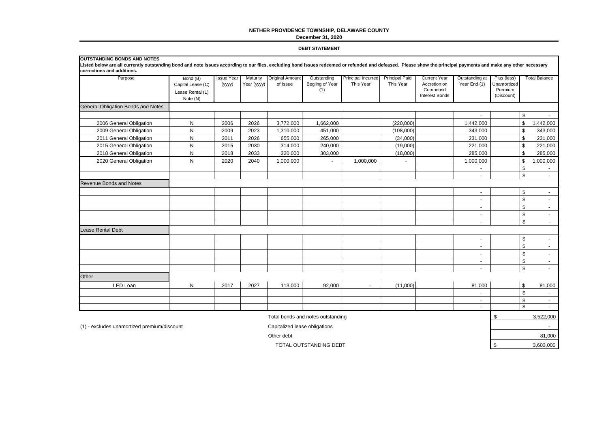## **NETHER PROVIDENCE TOWNSHIP, DELAWARE COUNTY**

#### **December 31, 2020**

#### **DEBT STATEMENT**

| <b>OUTSTANDING BONDS AND NOTES</b><br>Listed below are all currently outstanding bond and note issues according to our files, excluding bond issues redeemed or refunded and defeased. Please show the principal payments and make any other necessary<br>corrections and additions. |                                                               |                             |                         |                                    |                                       |                                 |                                    |                                                                          |                                |                                                     |                |                          |
|--------------------------------------------------------------------------------------------------------------------------------------------------------------------------------------------------------------------------------------------------------------------------------------|---------------------------------------------------------------|-----------------------------|-------------------------|------------------------------------|---------------------------------------|---------------------------------|------------------------------------|--------------------------------------------------------------------------|--------------------------------|-----------------------------------------------------|----------------|--------------------------|
| Purpose                                                                                                                                                                                                                                                                              | Bond (B)<br>Capital Lease (C)<br>Lease Rental (L)<br>Note (N) | <b>Issue Year</b><br>(yyyy) | Maturity<br>Year (yyyy) | <b>Original Amount</b><br>of Issue | Outstanding<br>Begiing of Year<br>(1) | Principal Incurred<br>This Year | <b>Principal Paid</b><br>This Year | <b>Current Year</b><br>Accretion on<br>Compound<br><b>Interest Bonds</b> | Outstanding at<br>Year End (1) | Plus (less)<br>Unamortized<br>Premium<br>(Discount) |                | <b>Total Balance</b>     |
| General Obligation Bonds and Notes                                                                                                                                                                                                                                                   |                                                               |                             |                         |                                    |                                       |                                 |                                    |                                                                          |                                |                                                     |                |                          |
|                                                                                                                                                                                                                                                                                      |                                                               |                             |                         |                                    |                                       |                                 |                                    |                                                                          | $\overline{\phantom{a}}$       |                                                     | \$             |                          |
| 2006 General Obligation                                                                                                                                                                                                                                                              | ${\sf N}$                                                     | 2006                        | 2026                    | 3,772,000                          | 1,662,000                             |                                 | (220,000)                          |                                                                          | 1,442,000                      |                                                     | \$             | 1,442,000                |
| 2009 General Obligation                                                                                                                                                                                                                                                              | $\mathsf{N}$                                                  | 2009                        | 2023                    | 1,310,000                          | 451,000                               |                                 | (108,000)                          |                                                                          | 343.000                        |                                                     | \$             | 343,000                  |
| 2011 General Obligation                                                                                                                                                                                                                                                              | ${\sf N}$                                                     | 2011                        | 2026                    | 655,000                            | 265,000                               |                                 | (34,000)                           |                                                                          | 231,000                        |                                                     | \$             | 231,000                  |
| 2015 General Obligation                                                                                                                                                                                                                                                              | ${\sf N}$                                                     | 2015                        | 2030                    | 314,000                            | 240,000                               |                                 | (19,000)                           |                                                                          | 221,000                        |                                                     | \$             | 221,000                  |
| 2018 General Obligation                                                                                                                                                                                                                                                              | $\mathsf{N}$                                                  | 2018                        | 2033                    | 320,000                            | 303,000                               |                                 | (18,000)                           |                                                                          | 285,000                        |                                                     | \$             | 285,000                  |
| 2020 General Obligation                                                                                                                                                                                                                                                              | $\mathsf{N}$                                                  | 2020                        | 2040                    | 1,000,000                          | $\blacksquare$                        | 1,000,000                       | $\blacksquare$                     |                                                                          | 1,000,000                      |                                                     | \$             | 1,000,000                |
|                                                                                                                                                                                                                                                                                      |                                                               |                             |                         |                                    |                                       |                                 |                                    |                                                                          | $\overline{\phantom{a}}$       |                                                     | \$             |                          |
|                                                                                                                                                                                                                                                                                      |                                                               |                             |                         |                                    |                                       |                                 |                                    |                                                                          | $\overline{\phantom{a}}$       |                                                     | $\mathfrak s$  | $\mathbf{r}$             |
| <b>Revenue Bonds and Notes</b>                                                                                                                                                                                                                                                       |                                                               |                             |                         |                                    |                                       |                                 |                                    |                                                                          |                                |                                                     |                |                          |
|                                                                                                                                                                                                                                                                                      |                                                               |                             |                         |                                    |                                       |                                 |                                    |                                                                          | $\blacksquare$                 |                                                     | \$             | $\sim$                   |
|                                                                                                                                                                                                                                                                                      |                                                               |                             |                         |                                    |                                       |                                 |                                    |                                                                          | $\blacksquare$                 |                                                     | $$\mathbb{S}$$ | $\sim$                   |
|                                                                                                                                                                                                                                                                                      |                                                               |                             |                         |                                    |                                       |                                 |                                    |                                                                          | $\blacksquare$                 |                                                     | \$             | $\sim$                   |
|                                                                                                                                                                                                                                                                                      |                                                               |                             |                         |                                    |                                       |                                 |                                    |                                                                          | $\blacksquare$                 |                                                     | \$             | $\sim$                   |
|                                                                                                                                                                                                                                                                                      |                                                               |                             |                         |                                    |                                       |                                 |                                    |                                                                          | $\sim$                         |                                                     | \$             | $\sim$                   |
| Lease Rental Debt                                                                                                                                                                                                                                                                    |                                                               |                             |                         |                                    |                                       |                                 |                                    |                                                                          |                                |                                                     |                |                          |
|                                                                                                                                                                                                                                                                                      |                                                               |                             |                         |                                    |                                       |                                 |                                    |                                                                          | $\overline{\phantom{a}}$       |                                                     | \$             | $\overline{\phantom{a}}$ |
|                                                                                                                                                                                                                                                                                      |                                                               |                             |                         |                                    |                                       |                                 |                                    |                                                                          | $\overline{\phantom{a}}$       |                                                     | $\mathbb{S}$   | $\overline{\phantom{a}}$ |
|                                                                                                                                                                                                                                                                                      |                                                               |                             |                         |                                    |                                       |                                 |                                    |                                                                          | $\overline{\phantom{a}}$       |                                                     | $\sqrt[6]{2}$  | $\overline{\phantom{a}}$ |
|                                                                                                                                                                                                                                                                                      |                                                               |                             |                         |                                    |                                       |                                 |                                    |                                                                          | $\overline{\phantom{a}}$       |                                                     | \$             | $\sim$                   |
|                                                                                                                                                                                                                                                                                      |                                                               |                             |                         |                                    |                                       |                                 |                                    |                                                                          | $\overline{\phantom{a}}$       |                                                     | $\mathfrak s$  | $\sim$                   |
| Other                                                                                                                                                                                                                                                                                |                                                               |                             |                         |                                    |                                       |                                 |                                    |                                                                          |                                |                                                     |                |                          |
| LED Loan                                                                                                                                                                                                                                                                             | ${\sf N}$                                                     | 2017                        | 2027                    | 113,000                            | 92,000                                | $\sim$                          | (11,000)                           |                                                                          | 81,000                         |                                                     | \$             | 81,000                   |
|                                                                                                                                                                                                                                                                                      |                                                               |                             |                         |                                    |                                       |                                 |                                    |                                                                          | $\overline{\phantom{a}}$       |                                                     | $$\mathbb{S}$$ |                          |
|                                                                                                                                                                                                                                                                                      |                                                               |                             |                         |                                    |                                       |                                 |                                    |                                                                          | $\sim$                         |                                                     | \$             | $\sim$                   |
|                                                                                                                                                                                                                                                                                      |                                                               |                             |                         |                                    |                                       |                                 |                                    |                                                                          | $\sim$                         |                                                     | $\mathsf{\$}$  | $\sim$                   |
|                                                                                                                                                                                                                                                                                      |                                                               |                             |                         |                                    | Total bonds and notes outstanding     |                                 |                                    |                                                                          |                                | \$                                                  |                | 3,522,000                |
| (1) - excludes unamortized premium/discount                                                                                                                                                                                                                                          |                                                               |                             |                         | Capitalized lease obligations      |                                       |                                 |                                    |                                                                          |                                |                                                     |                |                          |
|                                                                                                                                                                                                                                                                                      |                                                               |                             |                         | Other debt                         |                                       |                                 |                                    |                                                                          |                                |                                                     |                | 81,000                   |

TOTAL OUTSTANDING DEBT 3,603,000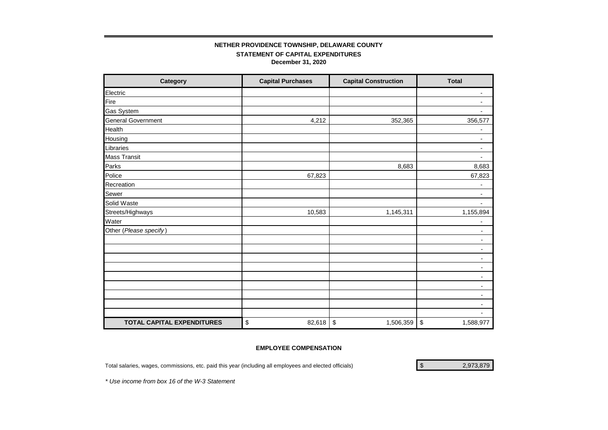# **STATEMENT OF CAPITAL EXPENDITURES December 31, 2020 NETHER PROVIDENCE TOWNSHIP, DELAWARE COUNTY**

| Category                   | <b>Capital Purchases</b> | <b>Capital Construction</b> | <b>Total</b>             |
|----------------------------|--------------------------|-----------------------------|--------------------------|
| Electric                   |                          |                             | $\blacksquare$           |
| Fire                       |                          |                             | -                        |
| <b>Gas System</b>          |                          |                             | $\overline{\phantom{a}}$ |
| <b>General Government</b>  | 4,212                    | 352,365                     | 356,577                  |
| Health                     |                          |                             | -                        |
| Housing                    |                          |                             | $\overline{\phantom{a}}$ |
| Libraries                  |                          |                             | $\blacksquare$           |
| <b>Mass Transit</b>        |                          |                             | $\overline{\phantom{a}}$ |
| Parks                      |                          | 8,683                       | 8,683                    |
| Police                     | 67,823                   |                             | 67,823                   |
| Recreation                 |                          |                             | $\overline{a}$           |
| Sewer                      |                          |                             | $\blacksquare$           |
| Solid Waste                |                          |                             | $\overline{\phantom{a}}$ |
| Streets/Highways           | 10,583                   | 1,145,311                   | 1,155,894                |
| Water                      |                          |                             | -                        |
| Other (Please specify)     |                          |                             | $\overline{\phantom{a}}$ |
|                            |                          |                             | ٠                        |
|                            |                          |                             | $\overline{\phantom{a}}$ |
|                            |                          |                             | $\overline{\phantom{a}}$ |
|                            |                          |                             | ۰.                       |
|                            |                          |                             | $\blacksquare$           |
|                            |                          |                             | $\blacksquare$           |
|                            |                          |                             | ٠                        |
|                            |                          |                             | ۰                        |
|                            |                          |                             | $\overline{\phantom{a}}$ |
| TOTAL CAPITAL EXPENDITURES | \$<br>82,618             | \$<br>1,506,359             | \$<br>1,588,977          |

# **EMPLOYEE COMPENSATION**

Total salaries, wages, commissions, etc. paid this year (including all employees and elected officials) 2,973,879\$

*\* Use income from box 16 of the W-3 Statement*